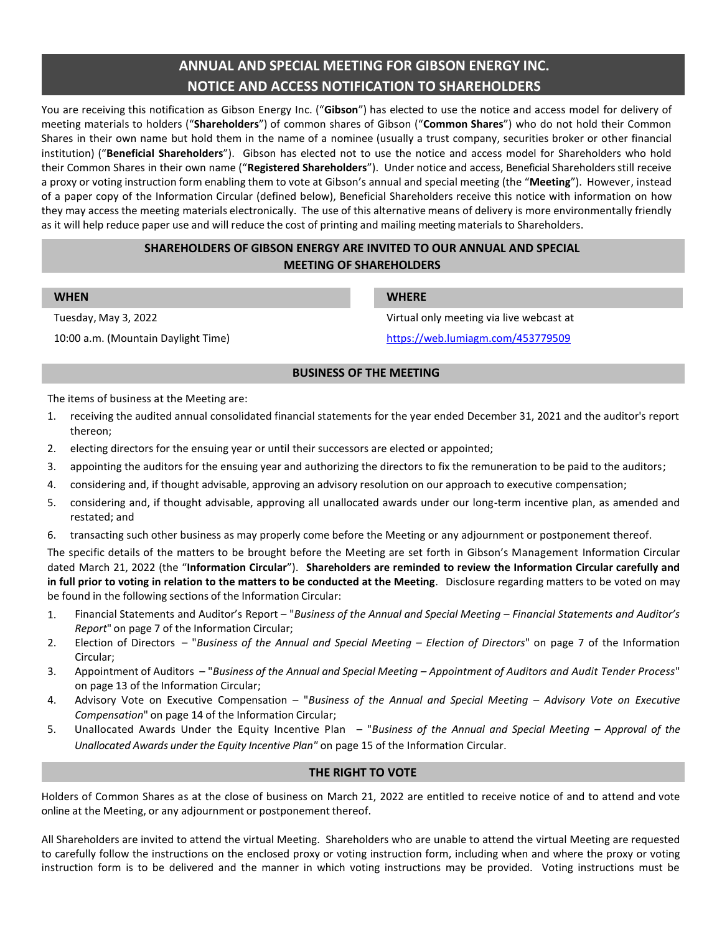# **ANNUAL AND SPECIAL MEETING FOR GIBSON ENERGY INC. NOTICE AND ACCESS NOTIFICATION TO SHAREHOLDERS**

You are receiving this notification as Gibson Energy Inc. ("**Gibson**") has elected to use the notice and access model for delivery of meeting materials to holders ("**Shareholders**") of common shares of Gibson ("**Common Shares**") who do not hold their Common Shares in their own name but hold them in the name of a nominee (usually a trust company, securities broker or other financial institution) ("**Beneficial Shareholders**"). Gibson has elected not to use the notice and access model for Shareholders who hold their Common Shares in their own name ("**Registered Shareholders**"). Under notice and access, Beneficial Shareholdersstill receive a proxy or voting instruction form enabling them to vote at Gibson's annual and special meeting (the "**Meeting**"). However, instead of a paper copy of the Information Circular (defined below), Beneficial Shareholders receive this notice with information on how they may access the meeting materials electronically. The use of this alternative means of delivery is more environmentally friendly as it will help reduce paper use and will reduce the cost of printing and mailing meeting materials to Shareholders.

# **SHAREHOLDERS OF GIBSON ENERGY ARE INVITED TO OUR ANNUAL AND SPECIAL MEETING OF SHAREHOLDERS**

| VHE |  |  |
|-----|--|--|
|     |  |  |

10:00 a.m. (Mountain Daylight Time) <https://web.lumiagm.com/453779509>

# **WHEN WHERE**

Tuesday, May 3, 2022 Virtual only meeting via live webcast at

# **BUSINESS OF THE MEETING**

The items of business at the Meeting are:

- 1. receiving the audited annual consolidated financial statements for the year ended December 31, 2021 and the auditor's report thereon;
- 2. electing directors for the ensuing year or until their successors are elected or appointed;
- 3. appointing the auditors for the ensuing year and authorizing the directors to fix the remuneration to be paid to the auditors;
- 4. considering and, if thought advisable, approving an advisory resolution on our approach to executive compensation;
- 5. considering and, if thought advisable, approving all unallocated awards under our long-term incentive plan, as amended and restated; and
- 6. transacting such other business as may properly come before the Meeting or any adjournment or postponement thereof.

The specific details of the matters to be brought before the Meeting are set forth in Gibson's Management Information Circular dated March 21, 2022 (the "**Information Circular**"). **Shareholders are reminded to review the Information Circular carefully and in full prior to voting in relation to the matters to be conducted at the Meeting**. Disclosure regarding matters to be voted on may be found in the following sections of the Information Circular:

- 1. Financial Statements and Auditor's Report "*Business of the Annual and Special Meeting – Financial Statements and Auditor's Report*" on page 7 of the Information Circular;
- 2. Election of Directors "*Business of the Annual and Special Meeting – Election of Directors*" on page 7 of the Information Circular;
- 3. Appointment of Auditors "*Business of the Annual and Special Meeting – Appointment of Auditors and Audit Tender Process*" on page 13 of the Information Circular;
- 4. Advisory Vote on Executive Compensation "*Business of the Annual and Special Meeting – Advisory Vote on Executive Compensation*" on page 14 of the Information Circular;
- 5. Unallocated Awards Under the Equity Incentive Plan "*Business of the Annual and Special Meeting – Approval of the Unallocated Awards under the Equity Incentive Plan"* on page 15 of the Information Circular.

## **THE RIGHT TO VOTE**

Holders of Common Shares as at the close of business on March 21, 2022 are entitled to receive notice of and to attend and vote online at the Meeting, or any adjournment or postponement thereof.

All Shareholders are invited to attend the virtual Meeting. Shareholders who are unable to attend the virtual Meeting are requested to carefully follow the instructions on the enclosed proxy or voting instruction form, including when and where the proxy or voting instruction form is to be delivered and the manner in which voting instructions may be provided. Voting instructions must be